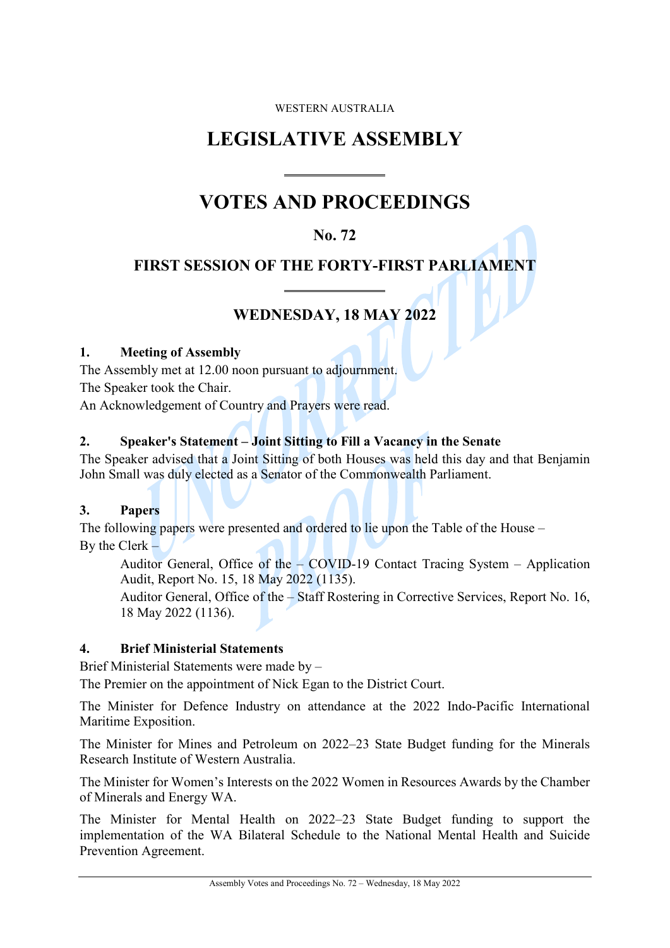#### WESTERN AUSTRALIA

# **LEGISLATIVE ASSEMBLY**

 $\overline{a}$ 

 $\overline{a}$ 

# **VOTES AND PROCEEDINGS**

# **No. 72**

# **FIRST SESSION OF THE FORTY-FIRST PARLIAMENT**

# **WEDNESDAY, 18 MAY 2022**

#### **1. Meeting of Assembly**

The Assembly met at 12.00 noon pursuant to adjournment. The Speaker took the Chair.

An Acknowledgement of Country and Prayers were read.

# **2. Speaker's Statement – Joint Sitting to Fill a Vacancy in the Senate**

The Speaker advised that a Joint Sitting of both Houses was held this day and that Benjamin John Small was duly elected as a Senator of the Commonwealth Parliament.

# **3. Papers**

The following papers were presented and ordered to lie upon the Table of the House – By the Clerk –

Auditor General, Office of the – COVID-19 Contact Tracing System – Application Audit, Report No. 15, 18 May 2022 (1135).

Auditor General, Office of the – Staff Rostering in Corrective Services, Report No. 16, 18 May 2022 (1136).

# **4. Brief Ministerial Statements**

Brief Ministerial Statements were made by –

The Premier on the appointment of Nick Egan to the District Court.

The Minister for Defence Industry on attendance at the 2022 Indo-Pacific International Maritime Exposition.

The Minister for Mines and Petroleum on 2022–23 State Budget funding for the Minerals Research Institute of Western Australia.

The Minister for Women's Interests on the 2022 Women in Resources Awards by the Chamber of Minerals and Energy WA.

The Minister for Mental Health on 2022–23 State Budget funding to support the implementation of the WA Bilateral Schedule to the National Mental Health and Suicide Prevention Agreement.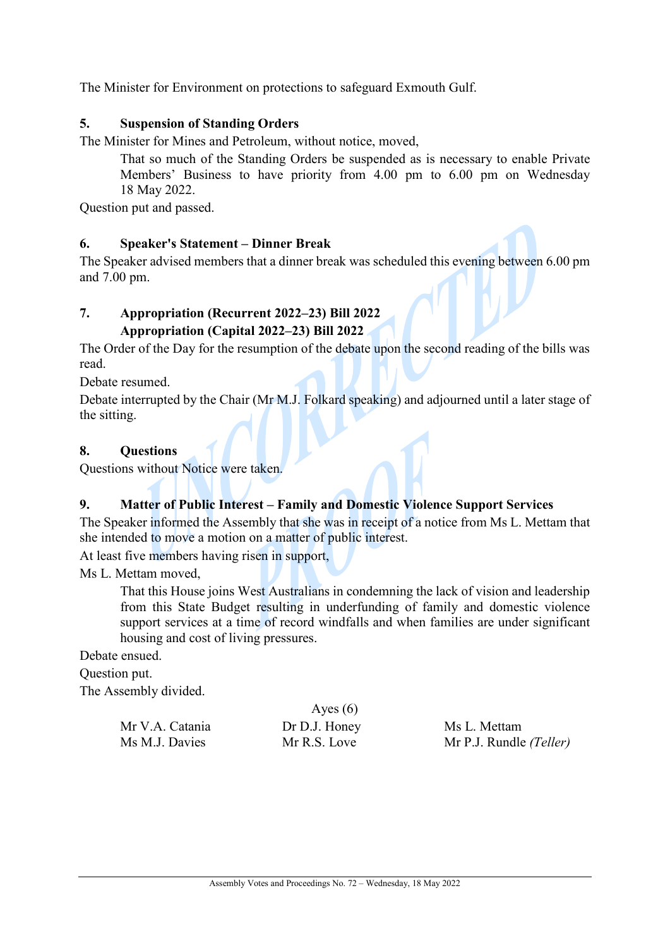The Minister for Environment on protections to safeguard Exmouth Gulf.

#### **5. Suspension of Standing Orders**

The Minister for Mines and Petroleum, without notice, moved,

That so much of the Standing Orders be suspended as is necessary to enable Private Members' Business to have priority from 4.00 pm to 6.00 pm on Wednesday 18 May 2022.

Question put and passed.

#### **6. Speaker's Statement – Dinner Break**

The Speaker advised members that a dinner break was scheduled this evening between 6.00 pm and 7.00 pm.

#### **7. Appropriation (Recurrent 2022–23) Bill 2022 Appropriation (Capital 2022–23) Bill 2022**

The Order of the Day for the resumption of the debate upon the second reading of the bills was read.

Debate resumed.

Debate interrupted by the Chair (Mr M.J. Folkard speaking) and adjourned until a later stage of the sitting.

#### **8. Questions**

Questions without Notice were taken.

#### **9. Matter of Public Interest – Family and Domestic Violence Support Services**

The Speaker informed the Assembly that she was in receipt of a notice from Ms L. Mettam that she intended to move a motion on a matter of public interest.

At least five members having risen in support,

Ms L. Mettam moved,

That this House joins West Australians in condemning the lack of vision and leadership from this State Budget resulting in underfunding of family and domestic violence support services at a time of record windfalls and when families are under significant housing and cost of living pressures.

Debate ensued.

Question put.

The Assembly divided.

|                 | $\mathbf{1}$  |                         |
|-----------------|---------------|-------------------------|
| Mr V.A. Catania | Dr D.J. Honey | Ms L. Mettam            |
| Ms M.J. Davies  | Mr R.S. Love  | Mr P.J. Rundle (Teller) |

Ayes  $(6)$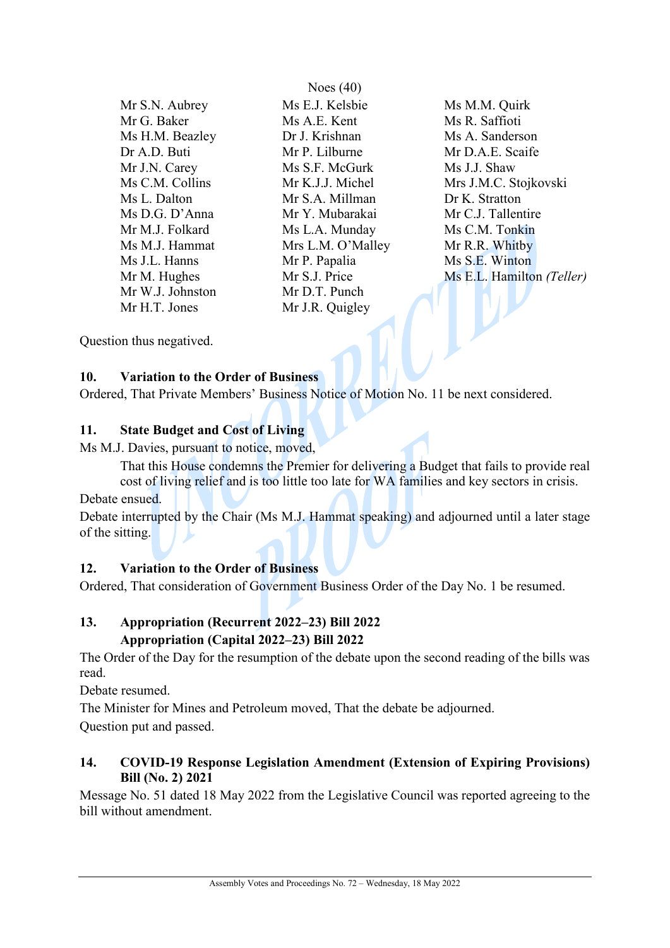Mr W.J. Johnston Mr D.T. Punch

Noes (40) Mr S.N. Aubrey Ms E.J. Kelsbie Ms M.M. Quirk Mr G. Baker Ms A.E. Kent Ms R. Saffioti Ms H.M. Beazley **Dr J. Krishnan** Ms A. Sanderson Dr A.D. Buti Mr P. Lilburne Mr D.A.E. Scaife Mr J.N. Carey Ms S.F. McGurk Ms J.J. Shaw Ms L. Dalton Mr S.A. Millman Dr K. Stratton Ms D.G. D'Anna Mr Y. Mubarakai Mr C.J. Tallentire Mr M.J. Folkard Ms L.A. Munday Ms C.M. Tonkin<br>
Ms M.J. Hammat Mrs L.M. O'Malley Mr R.R. Whitby Ms M.J. Hammat Mrs L.M. O'Malley Ms J.L. Hanns Mr P. Papalia Ms S.E. Winton Mr H.T. Jones Mr J.R. Quigley

Ms C.M. Collins Mr K.J.J. Michel Mrs J.M.C. Stojkovski Mr M. Hughes Mr S.J. Price Ms E.L. Hamilton *(Teller)* 

Question thus negatived.

#### **10. Variation to the Order of Business**

Ordered, That Private Members' Business Notice of Motion No. 11 be next considered.

#### **11. State Budget and Cost of Living**

Ms M.J. Davies, pursuant to notice, moved,

That this House condemns the Premier for delivering a Budget that fails to provide real cost of living relief and is too little too late for WA families and key sectors in crisis.

Debate ensued.

Debate interrupted by the Chair (Ms M.J. Hammat speaking) and adjourned until a later stage of the sitting.

# **12. Variation to the Order of Business**

Ordered, That consideration of Government Business Order of the Day No. 1 be resumed.

# **13. Appropriation (Recurrent 2022–23) Bill 2022 Appropriation (Capital 2022–23) Bill 2022**

The Order of the Day for the resumption of the debate upon the second reading of the bills was read.

Debate resumed.

The Minister for Mines and Petroleum moved, That the debate be adjourned.

Question put and passed.

# **14. COVID-19 Response Legislation Amendment (Extension of Expiring Provisions) Bill (No. 2) 2021**

Message No. 51 dated 18 May 2022 from the Legislative Council was reported agreeing to the bill without amendment.